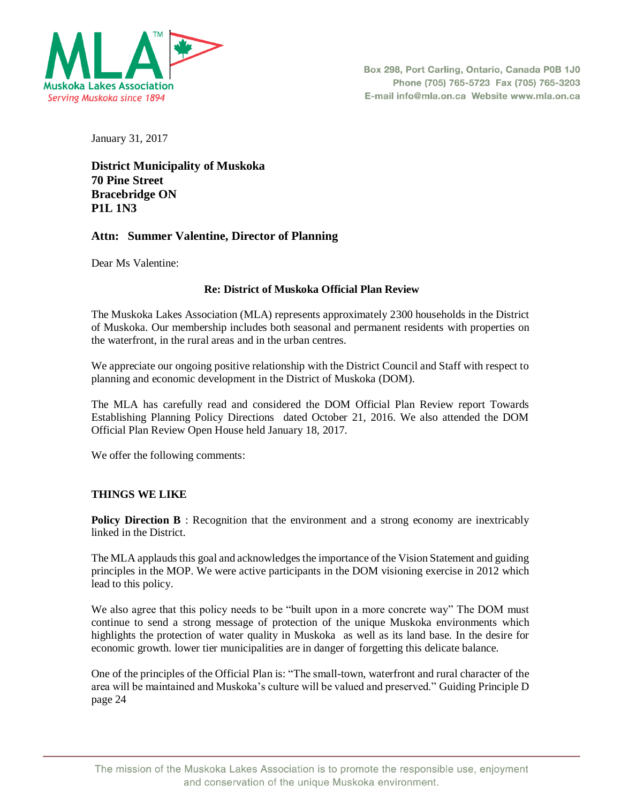

January 31, 2017

**District Municipality of Muskoka 70 Pine Street Bracebridge ON P1L 1N3** 

# **Attn: Summer Valentine, Director of Planning**

Dear Ms Valentine:

### **Re: District of Muskoka Official Plan Review**

The Muskoka Lakes Association (MLA) represents approximately 2300 households in the District of Muskoka. Our membership includes both seasonal and permanent residents with properties on the waterfront, in the rural areas and in the urban centres.

We appreciate our ongoing positive relationship with the District Council and Staff with respect to planning and economic development in the District of Muskoka (DOM).

The MLA has carefully read and considered the DOM Official Plan Review report Towards Establishing Planning Policy Directions dated October 21, 2016. We also attended the DOM Official Plan Review Open House held January 18, 2017.

We offer the following comments:

# **THINGS WE LIKE**

**Policy Direction B** : Recognition that the environment and a strong economy are inextricably linked in the District.

The MLA applauds this goal and acknowledges the importance of the Vision Statement and guiding principles in the MOP. We were active participants in the DOM visioning exercise in 2012 which lead to this policy.

We also agree that this policy needs to be "built upon in a more concrete way" The DOM must continue to send a strong message of protection of the unique Muskoka environments which highlights the protection of water quality in Muskoka as well as its land base. In the desire for economic growth. lower tier municipalities are in danger of forgetting this delicate balance.

One of the principles of the Official Plan is: "The small-town, waterfront and rural character of the area will be maintained and Muskoka's culture will be valued and preserved." Guiding Principle D page 24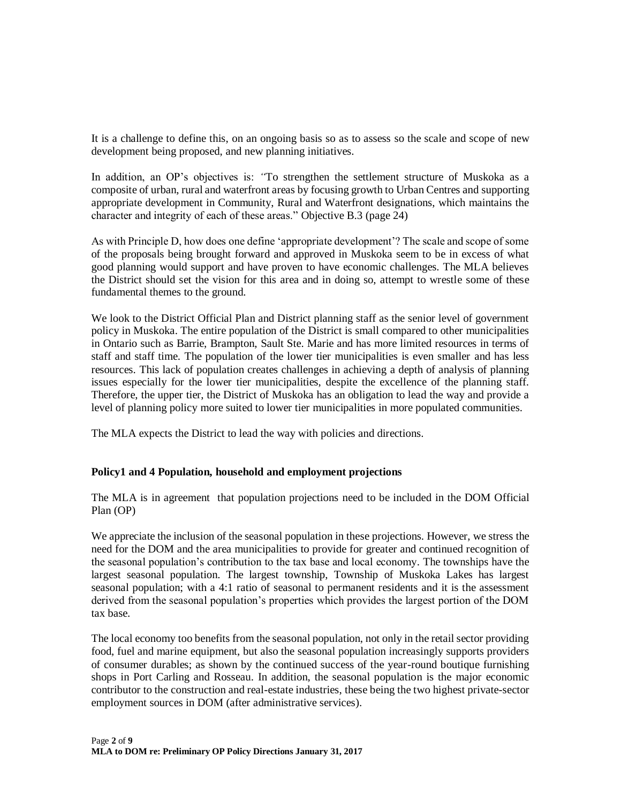It is a challenge to define this, on an ongoing basis so as to assess so the scale and scope of new development being proposed, and new planning initiatives.

In addition, an OP's objectives is: *"*To strengthen the settlement structure of Muskoka as a composite of urban, rural and waterfront areas by focusing growth to Urban Centres and supporting appropriate development in Community, Rural and Waterfront designations, which maintains the character and integrity of each of these areas." Objective B.3 (page 24)

As with Principle D, how does one define 'appropriate development'? The scale and scope of some of the proposals being brought forward and approved in Muskoka seem to be in excess of what good planning would support and have proven to have economic challenges. The MLA believes the District should set the vision for this area and in doing so, attempt to wrestle some of these fundamental themes to the ground.

We look to the District Official Plan and District planning staff as the senior level of government policy in Muskoka. The entire population of the District is small compared to other municipalities in Ontario such as Barrie, Brampton, Sault Ste. Marie and has more limited resources in terms of staff and staff time. The population of the lower tier municipalities is even smaller and has less resources. This lack of population creates challenges in achieving a depth of analysis of planning issues especially for the lower tier municipalities, despite the excellence of the planning staff. Therefore, the upper tier, the District of Muskoka has an obligation to lead the way and provide a level of planning policy more suited to lower tier municipalities in more populated communities.

The MLA expects the District to lead the way with policies and directions.

# **Policy1 and 4 Population, household and employment projections**

The MLA is in agreement that population projections need to be included in the DOM Official Plan (OP)

We appreciate the inclusion of the seasonal population in these projections. However, we stress the need for the DOM and the area municipalities to provide for greater and continued recognition of the seasonal population's contribution to the tax base and local economy. The townships have the largest seasonal population. The largest township, Township of Muskoka Lakes has largest seasonal population; with a 4:1 ratio of seasonal to permanent residents and it is the assessment derived from the seasonal population's properties which provides the largest portion of the DOM tax base.

The local economy too benefits from the seasonal population, not only in the retail sector providing food, fuel and marine equipment, but also the seasonal population increasingly supports providers of consumer durables; as shown by the continued success of the year-round boutique furnishing shops in Port Carling and Rosseau. In addition, the seasonal population is the major economic contributor to the construction and real-estate industries, these being the two highest private-sector employment sources in DOM (after administrative services).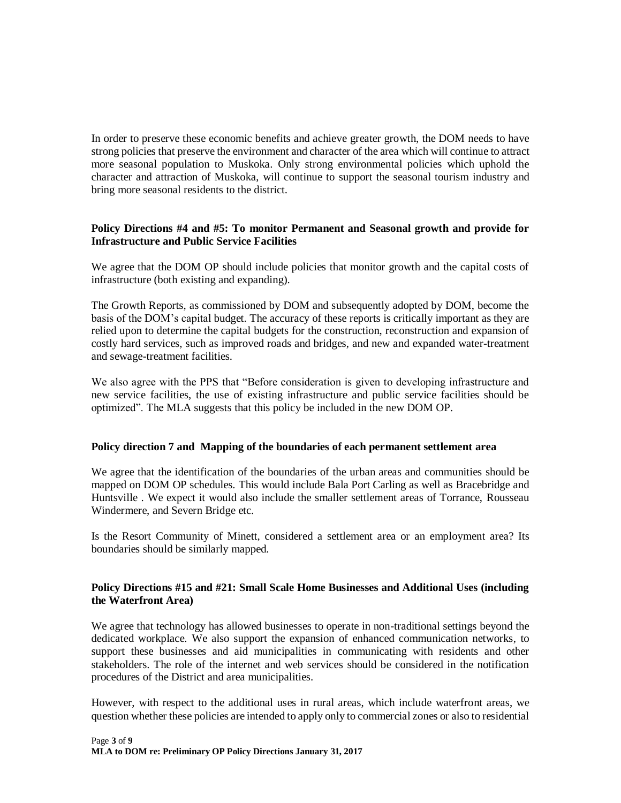In order to preserve these economic benefits and achieve greater growth, the DOM needs to have strong policies that preserve the environment and character of the area which will continue to attract more seasonal population to Muskoka. Only strong environmental policies which uphold the character and attraction of Muskoka, will continue to support the seasonal tourism industry and bring more seasonal residents to the district.

### **Policy Directions #4 and #5: To monitor Permanent and Seasonal growth and provide for Infrastructure and Public Service Facilities**

We agree that the DOM OP should include policies that monitor growth and the capital costs of infrastructure (both existing and expanding).

The Growth Reports, as commissioned by DOM and subsequently adopted by DOM, become the basis of the DOM's capital budget. The accuracy of these reports is critically important as they are relied upon to determine the capital budgets for the construction, reconstruction and expansion of costly hard services, such as improved roads and bridges, and new and expanded water-treatment and sewage-treatment facilities.

We also agree with the PPS that "Before consideration is given to developing infrastructure and new service facilities, the use of existing infrastructure and public service facilities should be optimized". The MLA suggests that this policy be included in the new DOM OP.

### **Policy direction 7 and Mapping of the boundaries of each permanent settlement area**

We agree that the identification of the boundaries of the urban areas and communities should be mapped on DOM OP schedules. This would include Bala Port Carling as well as Bracebridge and Huntsville . We expect it would also include the smaller settlement areas of Torrance, Rousseau Windermere, and Severn Bridge etc.

Is the Resort Community of Minett, considered a settlement area or an employment area? Its boundaries should be similarly mapped.

### **Policy Directions #15 and #21: Small Scale Home Businesses and Additional Uses (including the Waterfront Area)**

We agree that technology has allowed businesses to operate in non-traditional settings beyond the dedicated workplace. We also support the expansion of enhanced communication networks, to support these businesses and aid municipalities in communicating with residents and other stakeholders. The role of the internet and web services should be considered in the notification procedures of the District and area municipalities.

However, with respect to the additional uses in rural areas, which include waterfront areas, we question whether these policies are intended to apply only to commercial zones or also to residential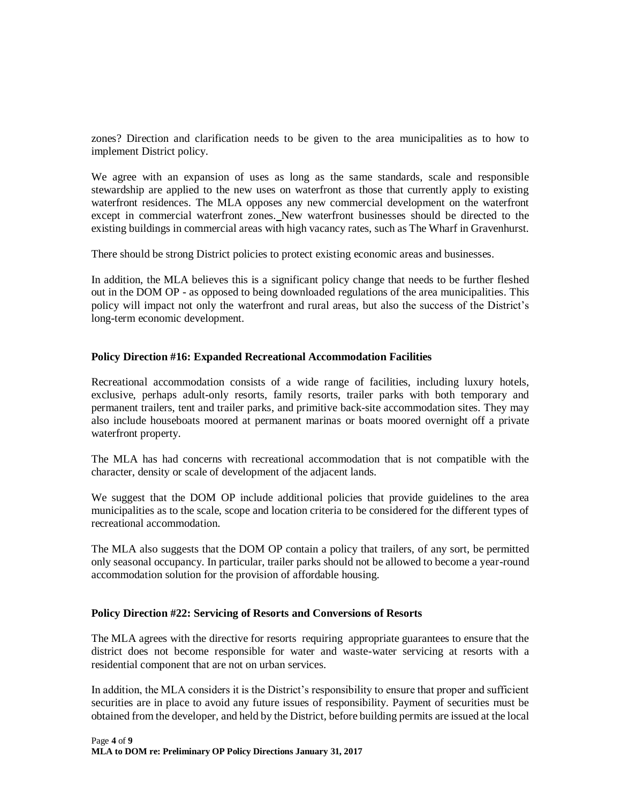zones? Direction and clarification needs to be given to the area municipalities as to how to implement District policy.

We agree with an expansion of uses as long as the same standards, scale and responsible stewardship are applied to the new uses on waterfront as those that currently apply to existing waterfront residences. The MLA opposes any new commercial development on the waterfront except in commercial waterfront zones. New waterfront businesses should be directed to the existing buildings in commercial areas with high vacancy rates, such as The Wharf in Gravenhurst.

There should be strong District policies to protect existing economic areas and businesses.

In addition, the MLA believes this is a significant policy change that needs to be further fleshed out in the DOM OP - as opposed to being downloaded regulations of the area municipalities. This policy will impact not only the waterfront and rural areas, but also the success of the District's long-term economic development.

### **Policy Direction #16: Expanded Recreational Accommodation Facilities**

Recreational accommodation consists of a wide range of facilities, including luxury hotels, exclusive, perhaps adult-only resorts, family resorts, trailer parks with both temporary and permanent trailers, tent and trailer parks, and primitive back-site accommodation sites. They may also include houseboats moored at permanent marinas or boats moored overnight off a private waterfront property.

The MLA has had concerns with recreational accommodation that is not compatible with the character, density or scale of development of the adjacent lands.

We suggest that the DOM OP include additional policies that provide guidelines to the area municipalities as to the scale, scope and location criteria to be considered for the different types of recreational accommodation.

The MLA also suggests that the DOM OP contain a policy that trailers, of any sort, be permitted only seasonal occupancy. In particular, trailer parks should not be allowed to become a year-round accommodation solution for the provision of affordable housing.

### **Policy Direction #22: Servicing of Resorts and Conversions of Resorts**

The MLA agrees with the directive for resorts requiring appropriate guarantees to ensure that the district does not become responsible for water and waste-water servicing at resorts with a residential component that are not on urban services.

In addition, the MLA considers it is the District's responsibility to ensure that proper and sufficient securities are in place to avoid any future issues of responsibility. Payment of securities must be obtained from the developer, and held by the District, before building permits are issued at the local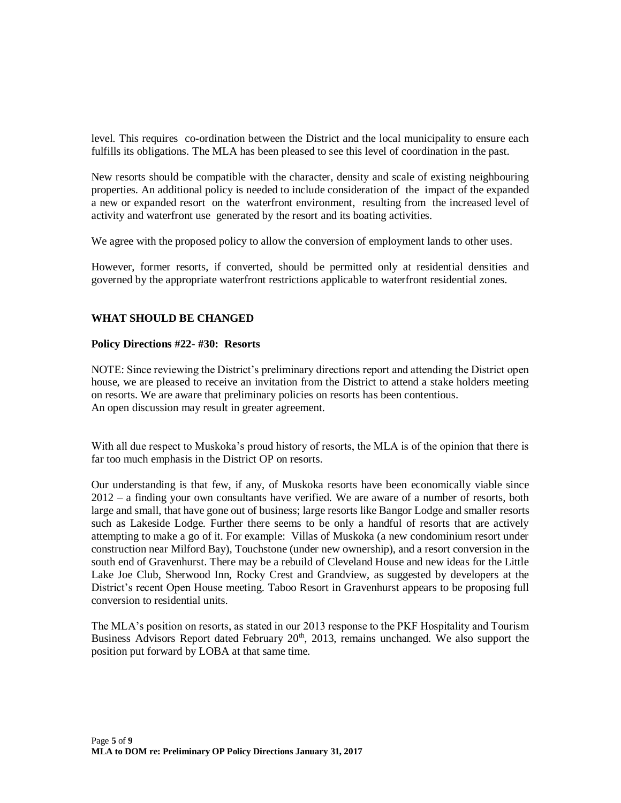level. This requires co-ordination between the District and the local municipality to ensure each fulfills its obligations. The MLA has been pleased to see this level of coordination in the past.

New resorts should be compatible with the character, density and scale of existing neighbouring properties*.* An additional policy is needed to include consideration of the impact of the expanded a new or expanded resort on the waterfront environment, resulting from the increased level of activity and waterfront use generated by the resort and its boating activities.

We agree with the proposed policy to allow the conversion of employment lands to other uses.

However, former resorts, if converted, should be permitted only at residential densities and governed by the appropriate waterfront restrictions applicable to waterfront residential zones.

### **WHAT SHOULD BE CHANGED**

#### **Policy Directions #22- #30: Resorts**

NOTE: Since reviewing the District's preliminary directions report and attending the District open house, we are pleased to receive an invitation from the District to attend a stake holders meeting on resorts. We are aware that preliminary policies on resorts has been contentious. An open discussion may result in greater agreement.

With all due respect to Muskoka's proud history of resorts, the MLA is of the opinion that there is far too much emphasis in the District OP on resorts.

Our understanding is that few, if any, of Muskoka resorts have been economically viable since 2012 – a finding your own consultants have verified. We are aware of a number of resorts, both large and small, that have gone out of business; large resorts like Bangor Lodge and smaller resorts such as Lakeside Lodge. Further there seems to be only a handful of resorts that are actively attempting to make a go of it. For example: Villas of Muskoka (a new condominium resort under construction near Milford Bay), Touchstone (under new ownership), and a resort conversion in the south end of Gravenhurst. There may be a rebuild of Cleveland House and new ideas for the Little Lake Joe Club, Sherwood Inn, Rocky Crest and Grandview, as suggested by developers at the District's recent Open House meeting. Taboo Resort in Gravenhurst appears to be proposing full conversion to residential units.

The MLA's position on resorts, as stated in our 2013 response to the PKF Hospitality and Tourism Business Advisors Report dated February  $20<sup>th</sup>$ , 2013, remains unchanged. We also support the position put forward by LOBA at that same time.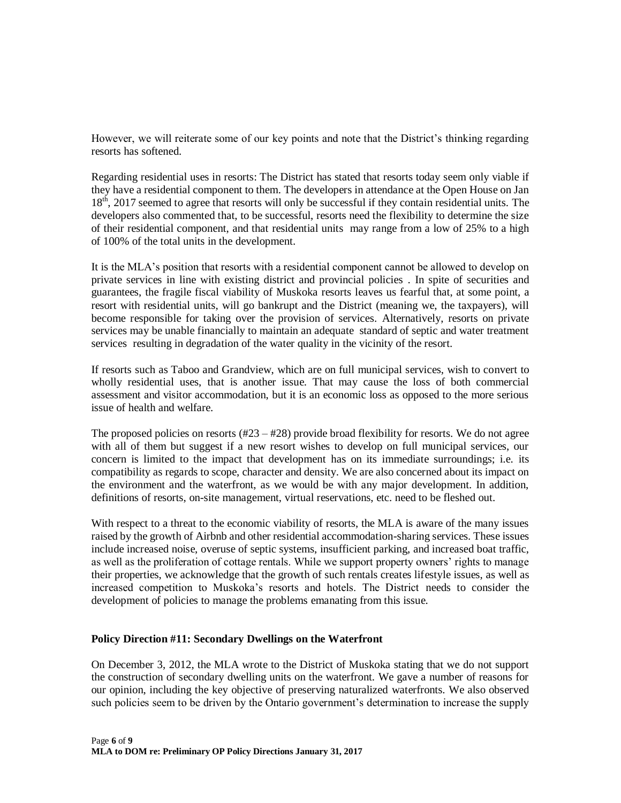However, we will reiterate some of our key points and note that the District's thinking regarding resorts has softened.

Regarding residential uses in resorts: The District has stated that resorts today seem only viable if they have a residential component to them. The developers in attendance at the Open House on Jan 18<sup>th</sup>, 2017 seemed to agree that resorts will only be successful if they contain residential units. The developers also commented that, to be successful, resorts need the flexibility to determine the size of their residential component, and that residential units may range from a low of 25% to a high of 100% of the total units in the development.

It is the MLA's position that resorts with a residential component cannot be allowed to develop on private services in line with existing district and provincial policies . In spite of securities and guarantees, the fragile fiscal viability of Muskoka resorts leaves us fearful that, at some point, a resort with residential units, will go bankrupt and the District (meaning we, the taxpayers), will become responsible for taking over the provision of services. Alternatively, resorts on private services may be unable financially to maintain an adequate standard of septic and water treatment services resulting in degradation of the water quality in the vicinity of the resort.

If resorts such as Taboo and Grandview, which are on full municipal services, wish to convert to wholly residential uses, that is another issue. That may cause the loss of both commercial assessment and visitor accommodation, but it is an economic loss as opposed to the more serious issue of health and welfare.

The proposed policies on resorts  $(#23 - #28)$  provide broad flexibility for resorts. We do not agree with all of them but suggest if a new resort wishes to develop on full municipal services, our concern is limited to the impact that development has on its immediate surroundings; i.e. its compatibility as regards to scope, character and density. We are also concerned about its impact on the environment and the waterfront, as we would be with any major development. In addition, definitions of resorts, on-site management, virtual reservations, etc. need to be fleshed out.

With respect to a threat to the economic viability of resorts, the MLA is aware of the many issues raised by the growth of Airbnb and other residential accommodation-sharing services. These issues include increased noise, overuse of septic systems, insufficient parking, and increased boat traffic, as well as the proliferation of cottage rentals. While we support property owners' rights to manage their properties, we acknowledge that the growth of such rentals creates lifestyle issues, as well as increased competition to Muskoka's resorts and hotels. The District needs to consider the development of policies to manage the problems emanating from this issue.

### **Policy Direction #11: Secondary Dwellings on the Waterfront**

On December 3, 2012, the MLA wrote to the District of Muskoka stating that we do not support the construction of secondary dwelling units on the waterfront. We gave a number of reasons for our opinion, including the key objective of preserving naturalized waterfronts. We also observed such policies seem to be driven by the Ontario government's determination to increase the supply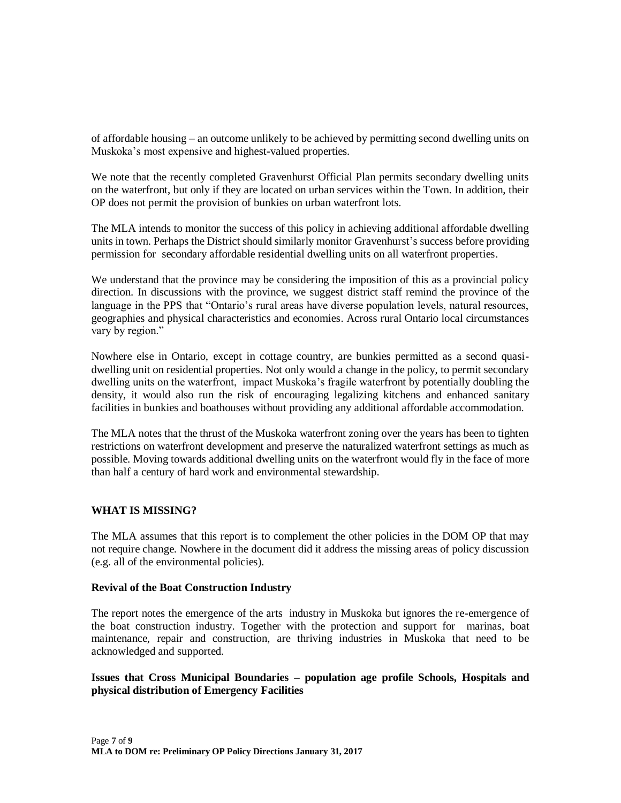of affordable housing – an outcome unlikely to be achieved by permitting second dwelling units on Muskoka's most expensive and highest-valued properties.

We note that the recently completed Gravenhurst Official Plan permits secondary dwelling units on the waterfront, but only if they are located on urban services within the Town. In addition, their OP does not permit the provision of bunkies on urban waterfront lots.

The MLA intends to monitor the success of this policy in achieving additional affordable dwelling units in town. Perhaps the District should similarly monitor Gravenhurst's success before providing permission for secondary affordable residential dwelling units on all waterfront properties.

We understand that the province may be considering the imposition of this as a provincial policy direction. In discussions with the province, we suggest district staff remind the province of the language in the PPS that "Ontario's rural areas have diverse population levels, natural resources, geographies and physical characteristics and economies. Across rural Ontario local circumstances vary by region."

Nowhere else in Ontario, except in cottage country, are bunkies permitted as a second quasidwelling unit on residential properties. Not only would a change in the policy, to permit secondary dwelling units on the waterfront, impact Muskoka's fragile waterfront by potentially doubling the density, it would also run the risk of encouraging legalizing kitchens and enhanced sanitary facilities in bunkies and boathouses without providing any additional affordable accommodation.

The MLA notes that the thrust of the Muskoka waterfront zoning over the years has been to tighten restrictions on waterfront development and preserve the naturalized waterfront settings as much as possible. Moving towards additional dwelling units on the waterfront would fly in the face of more than half a century of hard work and environmental stewardship.

# **WHAT IS MISSING?**

The MLA assumes that this report is to complement the other policies in the DOM OP that may not require change. Nowhere in the document did it address the missing areas of policy discussion (e.g. all of the environmental policies).

### **Revival of the Boat Construction Industry**

The report notes the emergence of the arts industry in Muskoka but ignores the re-emergence of the boat construction industry. Together with the protection and support for marinas, boat maintenance, repair and construction, are thriving industries in Muskoka that need to be acknowledged and supported.

### **Issues that Cross Municipal Boundaries – population age profile Schools, Hospitals and physical distribution of Emergency Facilities**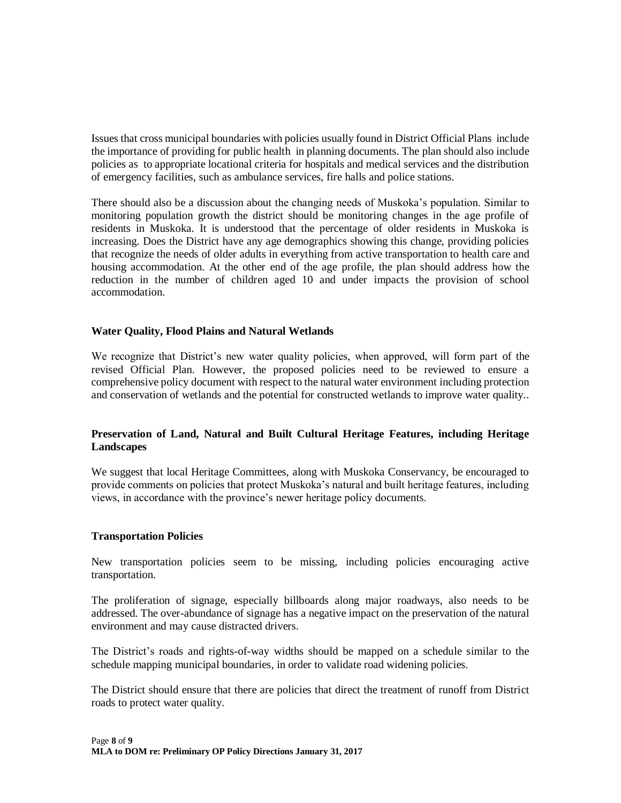Issues that cross municipal boundaries with policies usually found in District Official Plans include the importance of providing for public health in planning documents. The plan should also include policies as to appropriate locational criteria for hospitals and medical services and the distribution of emergency facilities, such as ambulance services, fire halls and police stations.

There should also be a discussion about the changing needs of Muskoka's population. Similar to monitoring population growth the district should be monitoring changes in the age profile of residents in Muskoka. It is understood that the percentage of older residents in Muskoka is increasing. Does the District have any age demographics showing this change, providing policies that recognize the needs of older adults in everything from active transportation to health care and housing accommodation. At the other end of the age profile, the plan should address how the reduction in the number of children aged 10 and under impacts the provision of school accommodation.

### **Water Quality, Flood Plains and Natural Wetlands**

We recognize that District's new water quality policies, when approved, will form part of the revised Official Plan. However, the proposed policies need to be reviewed to ensure a comprehensive policy document with respect to the natural water environment including protection and conservation of wetlands and the potential for constructed wetlands to improve water quality..

### **Preservation of Land, Natural and Built Cultural Heritage Features, including Heritage Landscapes**

We suggest that local Heritage Committees, along with Muskoka Conservancy, be encouraged to provide comments on policies that protect Muskoka's natural and built heritage features, including views, in accordance with the province's newer heritage policy documents.

#### **Transportation Policies**

New transportation policies seem to be missing, including policies encouraging active transportation.

The proliferation of signage, especially billboards along major roadways, also needs to be addressed. The over-abundance of signage has a negative impact on the preservation of the natural environment and may cause distracted drivers.

The District's roads and rights-of-way widths should be mapped on a schedule similar to the schedule mapping municipal boundaries, in order to validate road widening policies.

The District should ensure that there are policies that direct the treatment of runoff from District roads to protect water quality.